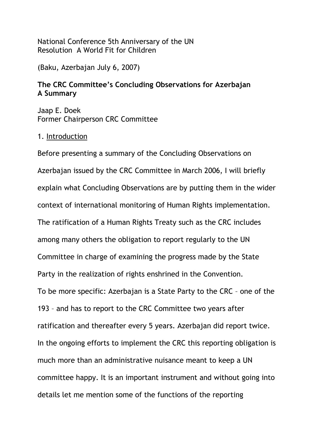National Conference 5th Anniversary of the UN Resolution A World Fit for Children

(Baku, Azerbajan July 6, 2007)

# **The CRC Committee's Concluding Observations for Azerbajan A Summary**

Jaap E. Doek Former Chairperson CRC Committee

## 1. Introduction

Before presenting a summary of the Concluding Observations on Azerbajan issued by the CRC Committee in March 2006, I will briefly explain what Concluding Observations are by putting them in the wider context of international monitoring of Human Rights implementation. The ratification of a Human Rights Treaty such as the CRC includes among many others the obligation to report regularly to the UN Committee in charge of examining the progress made by the State Party in the realization of rights enshrined in the Convention. To be more specific: Azerbajan is a State Party to the CRC – one of the 193 – and has to report to the CRC Committee two years after ratification and thereafter every 5 years. Azerbajan did report twice. In the ongoing efforts to implement the CRC this reporting obligation is much more than an administrative nuisance meant to keep a UN committee happy. It is an important instrument and without going into details let me mention some of the functions of the reporting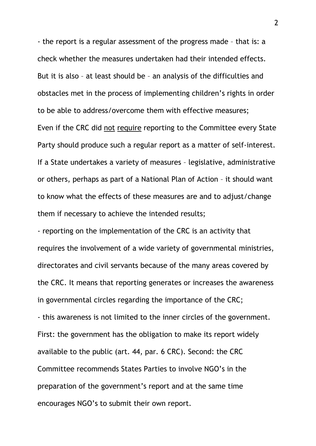- the report is a regular assessment of the progress made – that is: a check whether the measures undertaken had their intended effects. But it is also – at least should be – an analysis of the difficulties and obstacles met in the process of implementing children's rights in order to be able to address/overcome them with effective measures; Even if the CRC did not require reporting to the Committee every State Party should produce such a regular report as a matter of self-interest. If a State undertakes a variety of measures – legislative, administrative or others, perhaps as part of a National Plan of Action – it should want to know what the effects of these measures are and to adjust/change them if necessary to achieve the intended results;

- reporting on the implementation of the CRC is an activity that requires the involvement of a wide variety of governmental ministries, directorates and civil servants because of the many areas covered by the CRC. It means that reporting generates or increases the awareness in governmental circles regarding the importance of the CRC; - this awareness is not limited to the inner circles of the government. First: the government has the obligation to make its report widely available to the public (art. 44, par. 6 CRC). Second: the CRC Committee recommends States Parties to involve NGO's in the preparation of the government's report and at the same time encourages NGO's to submit their own report.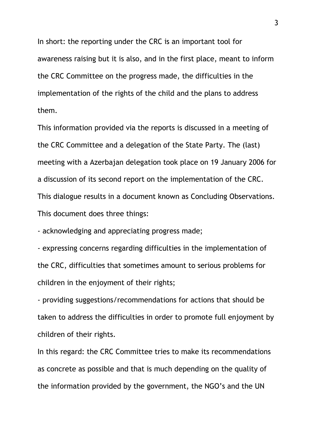In short: the reporting under the CRC is an important tool for awareness raising but it is also, and in the first place, meant to inform the CRC Committee on the progress made, the difficulties in the implementation of the rights of the child and the plans to address them.

This information provided via the reports is discussed in a meeting of the CRC Committee and a delegation of the State Party. The (last) meeting with a Azerbajan delegation took place on 19 January 2006 for a discussion of its second report on the implementation of the CRC. This dialogue results in a document known as Concluding Observations. This document does three things:

- acknowledging and appreciating progress made;

- expressing concerns regarding difficulties in the implementation of the CRC, difficulties that sometimes amount to serious problems for children in the enjoyment of their rights;

- providing suggestions/recommendations for actions that should be taken to address the difficulties in order to promote full enjoyment by children of their rights.

In this regard: the CRC Committee tries to make its recommendations as concrete as possible and that is much depending on the quality of the information provided by the government, the NGO's and the UN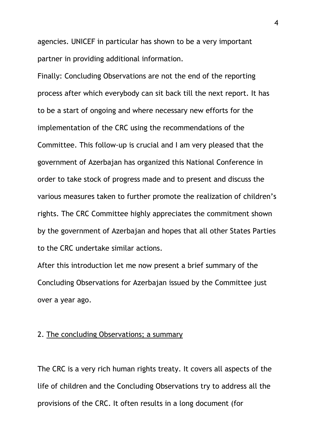agencies. UNICEF in particular has shown to be a very important partner in providing additional information.

Finally: Concluding Observations are not the end of the reporting process after which everybody can sit back till the next report. It has to be a start of ongoing and where necessary new efforts for the implementation of the CRC using the recommendations of the Committee. This follow-up is crucial and I am very pleased that the government of Azerbajan has organized this National Conference in order to take stock of progress made and to present and discuss the various measures taken to further promote the realization of children's rights. The CRC Committee highly appreciates the commitment shown by the government of Azerbajan and hopes that all other States Parties to the CRC undertake similar actions.

After this introduction let me now present a brief summary of the Concluding Observations for Azerbajan issued by the Committee just over a year ago.

#### 2. The concluding Observations; a summary

The CRC is a very rich human rights treaty. It covers all aspects of the life of children and the Concluding Observations try to address all the provisions of the CRC. It often results in a long document (for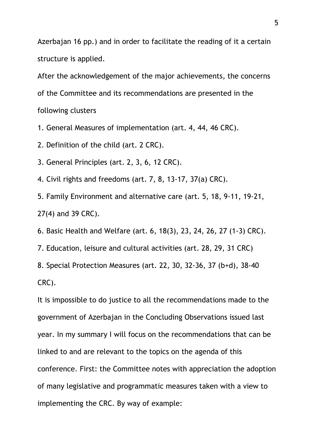Azerbajan 16 pp.) and in order to facilitate the reading of it a certain structure is applied.

After the acknowledgement of the major achievements, the concerns of the Committee and its recommendations are presented in the following clusters

1. General Measures of implementation (art. 4, 44, 46 CRC).

2. Definition of the child (art. 2 CRC).

3. General Principles (art. 2, 3, 6, 12 CRC).

4. Civil rights and freedoms (art. 7, 8, 13-17, 37(a) CRC).

5. Family Environment and alternative care (art. 5, 18, 9-11, 19-21, 27(4) and 39 CRC).

6. Basic Health and Welfare (art. 6, 18(3), 23, 24, 26, 27 (1-3) CRC).

7. Education, leisure and cultural activities (art. 28, 29, 31 CRC)

8. Special Protection Measures (art. 22, 30, 32-36, 37 (b+d), 38-40 CRC).

It is impossible to do justice to all the recommendations made to the government of Azerbajan in the Concluding Observations issued last year. In my summary I will focus on the recommendations that can be linked to and are relevant to the topics on the agenda of this conference. First: the Committee notes with appreciation the adoption of many legislative and programmatic measures taken with a view to implementing the CRC. By way of example: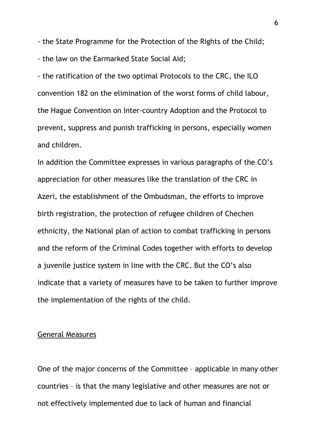- the State Programme for the Protection of the Rights of the Child; - the law on the Earmarked State Social Aid;

- the ratification of the two optimal Protocols to the CRC, the ILO convention 182 on the elimination of the worst forms of child labour, the Hague Convention on Inter-country Adoption and the Protocol to prevent, suppress and punish trafficking in persons, especially women and children.

In addition the Committee expresses in various paragraphs of the CO's appreciation for other measures like the translation of the CRC in Azeri, the establishment of the Ombudsman, the efforts to improve birth registration, the protection of refugee children of Chechen ethnicity, the National plan of action to combat trafficking in persons and the reform of the Criminal Codes together with efforts to develop a juvenile justice system in line with the CRC. But the CO's also indicate that a variety of measures have to be taken to further improve the implementation of the rights of the child.

#### General Measures

One of the major concerns of the Committee – applicable in many other countries – is that the many legislative and other measures are not or not effectively implemented due to lack of human and financial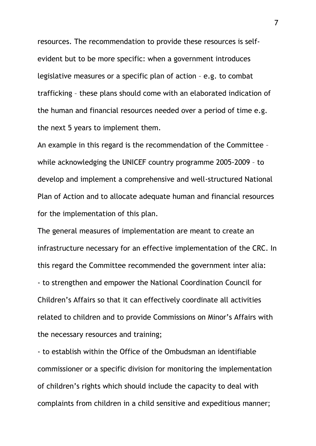resources. The recommendation to provide these resources is selfevident but to be more specific: when a government introduces legislative measures or a specific plan of action – e.g. to combat trafficking – these plans should come with an elaborated indication of the human and financial resources needed over a period of time e.g. the next 5 years to implement them.

An example in this regard is the recommendation of the Committee – while acknowledging the UNICEF country programme 2005-2009 – to develop and implement a comprehensive and well-structured National Plan of Action and to allocate adequate human and financial resources for the implementation of this plan.

The general measures of implementation are meant to create an infrastructure necessary for an effective implementation of the CRC. In this regard the Committee recommended the government inter alia: - to strengthen and empower the National Coordination Council for Children's Affairs so that it can effectively coordinate all activities related to children and to provide Commissions on Minor's Affairs with the necessary resources and training;

- to establish within the Office of the Ombudsman an identifiable commissioner or a specific division for monitoring the implementation of children's rights which should include the capacity to deal with complaints from children in a child sensitive and expeditious manner;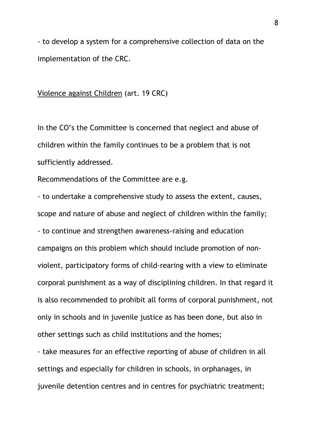- to develop a system for a comprehensive collection of data on the implementation of the CRC.

#### Violence against Children (art. 19 CRC)

In the CO's the Committee is concerned that neglect and abuse of children within the family continues to be a problem that is not sufficiently addressed.

Recommendations of the Committee are e.g.

- to undertake a comprehensive study to assess the extent, causes, scope and nature of abuse and neglect of children within the family; - to continue and strengthen awareness-raising and education campaigns on this problem which should include promotion of nonviolent, participatory forms of child-rearing with a view to eliminate corporal punishment as a way of disciplining children. In that regard it is also recommended to prohibit all forms of corporal punishment, not only in schools and in juvenile justice as has been done, but also in other settings such as child institutions and the homes;

- take measures for an effective reporting of abuse of children in all settings and especially for children in schools, in orphanages, in juvenile detention centres and in centres for psychiatric treatment;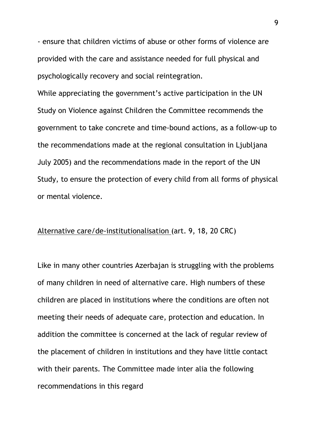- ensure that children victims of abuse or other forms of violence are provided with the care and assistance needed for full physical and psychologically recovery and social reintegration.

While appreciating the government's active participation in the UN Study on Violence against Children the Committee recommends the government to take concrete and time-bound actions, as a follow-up to the recommendations made at the regional consultation in Ljubljana July 2005) and the recommendations made in the report of the UN Study, to ensure the protection of every child from all forms of physical or mental violence.

## Alternative care/de-institutionalisation (art. 9, 18, 20 CRC)

Like in many other countries Azerbajan is struggling with the problems of many children in need of alternative care. High numbers of these children are placed in institutions where the conditions are often not meeting their needs of adequate care, protection and education. In addition the committee is concerned at the lack of regular review of the placement of children in institutions and they have little contact with their parents. The Committee made inter alia the following recommendations in this regard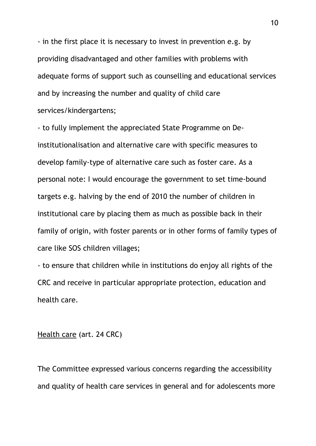- in the first place it is necessary to invest in prevention e.g. by providing disadvantaged and other families with problems with adequate forms of support such as counselling and educational services and by increasing the number and quality of child care services/kindergartens;

- to fully implement the appreciated State Programme on Deinstitutionalisation and alternative care with specific measures to develop family-type of alternative care such as foster care. As a personal note: I would encourage the government to set time-bound targets e.g. halving by the end of 2010 the number of children in institutional care by placing them as much as possible back in their family of origin, with foster parents or in other forms of family types of care like SOS children villages;

- to ensure that children while in institutions do enjoy all rights of the CRC and receive in particular appropriate protection, education and health care.

### Health care (art. 24 CRC)

The Committee expressed various concerns regarding the accessibility and quality of health care services in general and for adolescents more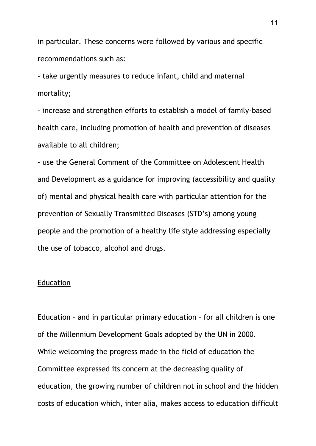in particular. These concerns were followed by various and specific recommendations such as:

- take urgently measures to reduce infant, child and maternal mortality;

- increase and strengthen efforts to establish a model of family-based health care, including promotion of health and prevention of diseases available to all children;

- use the General Comment of the Committee on Adolescent Health and Development as a guidance for improving (accessibility and quality of) mental and physical health care with particular attention for the prevention of Sexually Transmitted Diseases (STD's**)** among young people and the promotion of a healthy life style addressing especially the use of tobacco, alcohol and drugs.

#### Education

Education – and in particular primary education – for all children is one of the Millennium Development Goals adopted by the UN in 2000. While welcoming the progress made in the field of education the Committee expressed its concern at the decreasing quality of education, the growing number of children not in school and the hidden costs of education which, inter alia, makes access to education difficult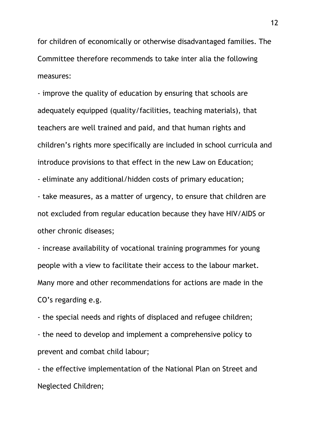for children of economically or otherwise disadvantaged families. The Committee therefore recommends to take inter alia the following measures:

- improve the quality of education by ensuring that schools are adequately equipped (quality/facilities, teaching materials), that teachers are well trained and paid, and that human rights and children's rights more specifically are included in school curricula and introduce provisions to that effect in the new Law on Education;

- eliminate any additional/hidden costs of primary education;

- take measures, as a matter of urgency, to ensure that children are not excluded from regular education because they have HIV/AIDS or other chronic diseases;

- increase availability of vocational training programmes for young people with a view to facilitate their access to the labour market. Many more and other recommendations for actions are made in the CO's regarding e.g.

- the special needs and rights of displaced and refugee children;

- the need to develop and implement a comprehensive policy to prevent and combat child labour;

- the effective implementation of the National Plan on Street and Neglected Children;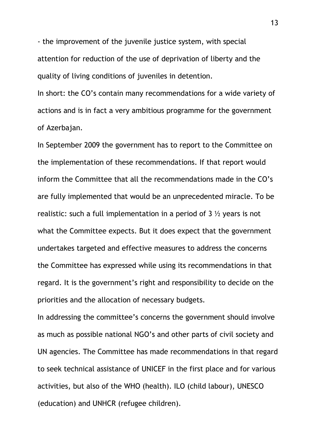- the improvement of the juvenile justice system, with special attention for reduction of the use of deprivation of liberty and the quality of living conditions of juveniles in detention.

In short: the CO's contain many recommendations for a wide variety of actions and is in fact a very ambitious programme for the government of Azerbajan.

In September 2009 the government has to report to the Committee on the implementation of these recommendations. If that report would inform the Committee that all the recommendations made in the CO's are fully implemented that would be an unprecedented miracle. To be realistic: such a full implementation in a period of  $3\frac{1}{2}$  years is not what the Committee expects. But it does expect that the government undertakes targeted and effective measures to address the concerns the Committee has expressed while using its recommendations in that regard. It is the government's right and responsibility to decide on the priorities and the allocation of necessary budgets.

In addressing the committee's concerns the government should involve as much as possible national NGO's and other parts of civil society and UN agencies. The Committee has made recommendations in that regard to seek technical assistance of UNICEF in the first place and for various activities, but also of the WHO (health). ILO (child labour), UNESCO (education) and UNHCR (refugee children).